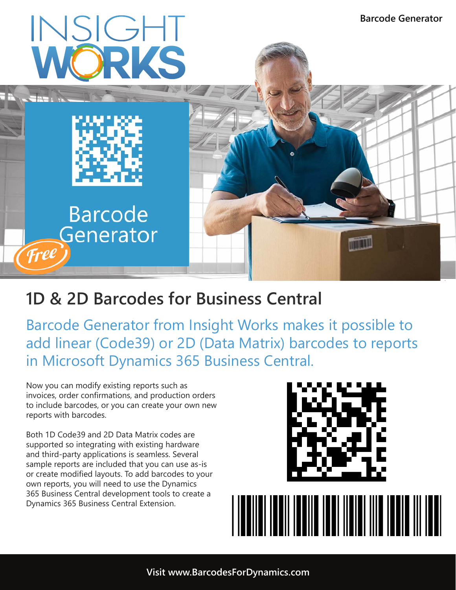

# **1D & 2D Barcodes for Business Central**

Barcode Generator from Insight Works makes it possible to add linear (Code39) or 2D (Data Matrix) barcodes to reports in Microsoft Dynamics 365 Business Central.

Now you can modify existing reports such as invoices, order confirmations, and production orders to include barcodes, or you can create your own new reports with barcodes.

Both 1D Code39 and 2D Data Matrix codes are supported so integrating with existing hardware and third-party applications is seamless. Several sample reports are included that you can use as-is or create modified layouts. To add barcodes to your own reports, you will need to use the Dynamics 365 Business Central development tools to create a Dynamics 365 Business Central Extension.